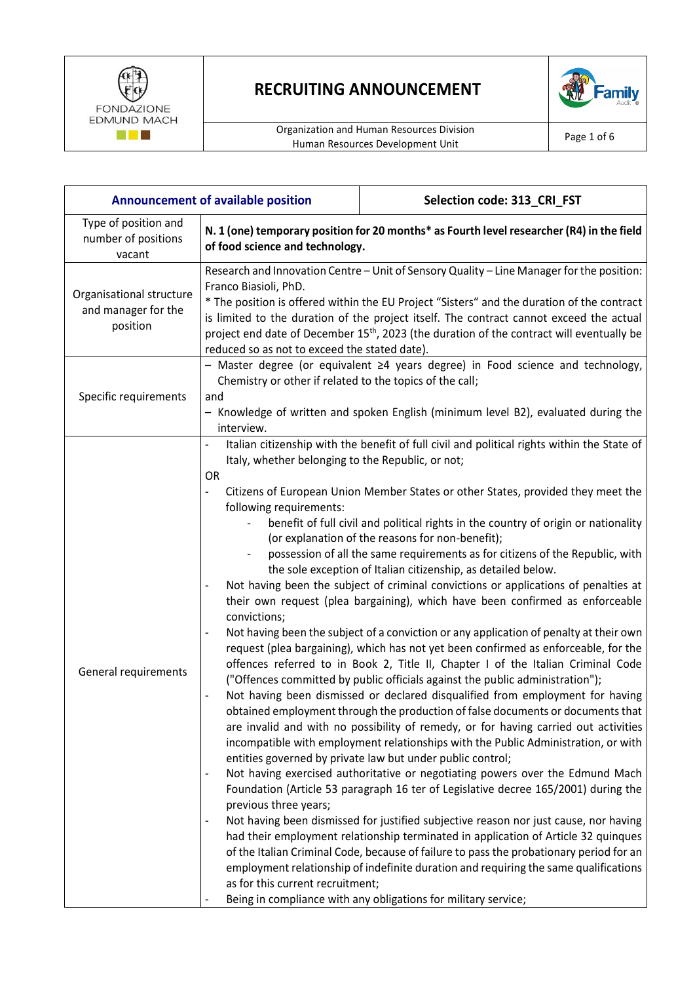



| <b>Announcement of available position</b>                   |                                                                                                                                                                                                                                                                                                                                                                                                                                                                                                                                                                                                                                                                                                                                                                                                                                                                                                                                                                                                                                                                                                                                                                                                                                                                                                                                                                                                                                                                                                                                                                                                                                                                                                                                                                                                                                                                                                                                                                                                                                                                                                                                                                                                                                                                              | Selection code: 313_CRI_FST |
|-------------------------------------------------------------|------------------------------------------------------------------------------------------------------------------------------------------------------------------------------------------------------------------------------------------------------------------------------------------------------------------------------------------------------------------------------------------------------------------------------------------------------------------------------------------------------------------------------------------------------------------------------------------------------------------------------------------------------------------------------------------------------------------------------------------------------------------------------------------------------------------------------------------------------------------------------------------------------------------------------------------------------------------------------------------------------------------------------------------------------------------------------------------------------------------------------------------------------------------------------------------------------------------------------------------------------------------------------------------------------------------------------------------------------------------------------------------------------------------------------------------------------------------------------------------------------------------------------------------------------------------------------------------------------------------------------------------------------------------------------------------------------------------------------------------------------------------------------------------------------------------------------------------------------------------------------------------------------------------------------------------------------------------------------------------------------------------------------------------------------------------------------------------------------------------------------------------------------------------------------------------------------------------------------------------------------------------------------|-----------------------------|
| Type of position and<br>number of positions<br>vacant       | N. 1 (one) temporary position for 20 months* as Fourth level researcher (R4) in the field<br>of food science and technology.                                                                                                                                                                                                                                                                                                                                                                                                                                                                                                                                                                                                                                                                                                                                                                                                                                                                                                                                                                                                                                                                                                                                                                                                                                                                                                                                                                                                                                                                                                                                                                                                                                                                                                                                                                                                                                                                                                                                                                                                                                                                                                                                                 |                             |
| Organisational structure<br>and manager for the<br>position | Research and Innovation Centre - Unit of Sensory Quality - Line Manager for the position:<br>Franco Biasioli, PhD.<br>* The position is offered within the EU Project "Sisters" and the duration of the contract<br>is limited to the duration of the project itself. The contract cannot exceed the actual<br>project end date of December 15 <sup>th</sup> , 2023 (the duration of the contract will eventually be<br>reduced so as not to exceed the stated date).                                                                                                                                                                                                                                                                                                                                                                                                                                                                                                                                                                                                                                                                                                                                                                                                                                                                                                                                                                                                                                                                                                                                                                                                                                                                                                                                                                                                                                                                                                                                                                                                                                                                                                                                                                                                        |                             |
| Specific requirements                                       | - Master degree (or equivalent ≥4 years degree) in Food science and technology,<br>Chemistry or other if related to the topics of the call;<br>and<br>- Knowledge of written and spoken English (minimum level B2), evaluated during the<br>interview.                                                                                                                                                                                                                                                                                                                                                                                                                                                                                                                                                                                                                                                                                                                                                                                                                                                                                                                                                                                                                                                                                                                                                                                                                                                                                                                                                                                                                                                                                                                                                                                                                                                                                                                                                                                                                                                                                                                                                                                                                       |                             |
| General requirements                                        | Italian citizenship with the benefit of full civil and political rights within the State of<br>Italy, whether belonging to the Republic, or not;<br><b>OR</b><br>Citizens of European Union Member States or other States, provided they meet the<br>following requirements:<br>benefit of full civil and political rights in the country of origin or nationality<br>(or explanation of the reasons for non-benefit);<br>possession of all the same requirements as for citizens of the Republic, with<br>the sole exception of Italian citizenship, as detailed below.<br>Not having been the subject of criminal convictions or applications of penalties at<br>their own request (plea bargaining), which have been confirmed as enforceable<br>convictions;<br>Not having been the subject of a conviction or any application of penalty at their own<br>$\qquad \qquad \blacksquare$<br>request (plea bargaining), which has not yet been confirmed as enforceable, for the<br>offences referred to in Book 2, Title II, Chapter I of the Italian Criminal Code<br>("Offences committed by public officials against the public administration");<br>Not having been dismissed or declared disqualified from employment for having<br>obtained employment through the production of false documents or documents that<br>are invalid and with no possibility of remedy, or for having carried out activities<br>incompatible with employment relationships with the Public Administration, or with<br>entities governed by private law but under public control;<br>Not having exercised authoritative or negotiating powers over the Edmund Mach<br>$\qquad \qquad \blacksquare$<br>Foundation (Article 53 paragraph 16 ter of Legislative decree 165/2001) during the<br>previous three years;<br>Not having been dismissed for justified subjective reason nor just cause, nor having<br>had their employment relationship terminated in application of Article 32 quinques<br>of the Italian Criminal Code, because of failure to pass the probationary period for an<br>employment relationship of indefinite duration and requiring the same qualifications<br>as for this current recruitment;<br>Being in compliance with any obligations for military service; |                             |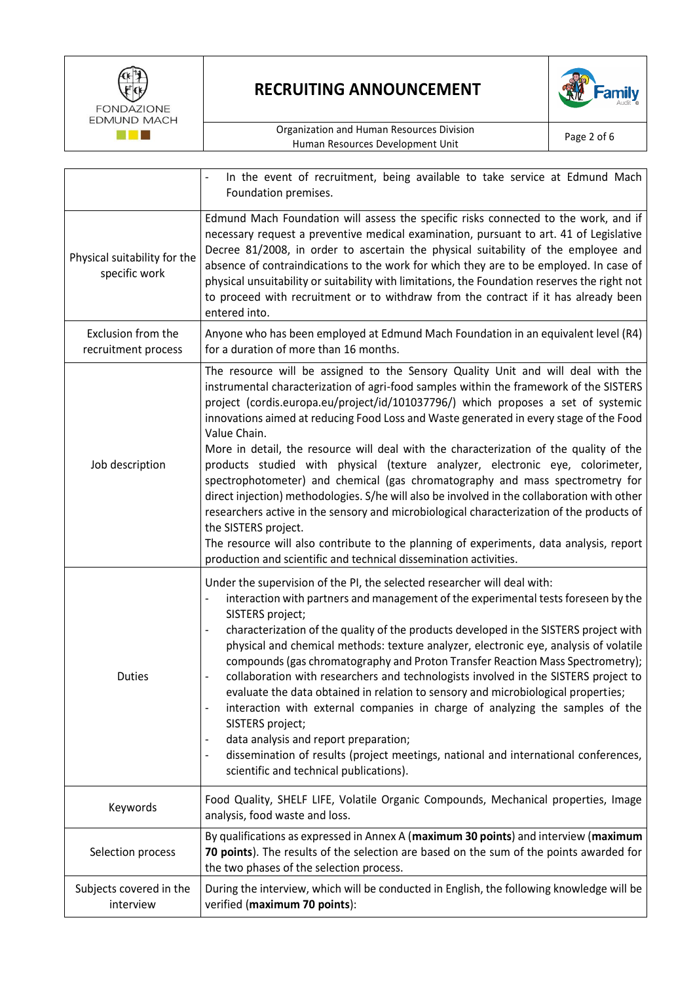



|                                               | In the event of recruitment, being available to take service at Edmund Mach<br>Foundation premises.                                                                                                                                                                                                                                                                                                                                                                                                                                                                                                                                                                                                                                                                                                                                                                                                                                                                                                                        |
|-----------------------------------------------|----------------------------------------------------------------------------------------------------------------------------------------------------------------------------------------------------------------------------------------------------------------------------------------------------------------------------------------------------------------------------------------------------------------------------------------------------------------------------------------------------------------------------------------------------------------------------------------------------------------------------------------------------------------------------------------------------------------------------------------------------------------------------------------------------------------------------------------------------------------------------------------------------------------------------------------------------------------------------------------------------------------------------|
| Physical suitability for the<br>specific work | Edmund Mach Foundation will assess the specific risks connected to the work, and if<br>necessary request a preventive medical examination, pursuant to art. 41 of Legislative<br>Decree 81/2008, in order to ascertain the physical suitability of the employee and<br>absence of contraindications to the work for which they are to be employed. In case of<br>physical unsuitability or suitability with limitations, the Foundation reserves the right not<br>to proceed with recruitment or to withdraw from the contract if it has already been<br>entered into.                                                                                                                                                                                                                                                                                                                                                                                                                                                     |
| Exclusion from the<br>recruitment process     | Anyone who has been employed at Edmund Mach Foundation in an equivalent level (R4)<br>for a duration of more than 16 months.                                                                                                                                                                                                                                                                                                                                                                                                                                                                                                                                                                                                                                                                                                                                                                                                                                                                                               |
| Job description                               | The resource will be assigned to the Sensory Quality Unit and will deal with the<br>instrumental characterization of agri-food samples within the framework of the SISTERS<br>project (cordis.europa.eu/project/id/101037796/) which proposes a set of systemic<br>innovations aimed at reducing Food Loss and Waste generated in every stage of the Food<br>Value Chain.<br>More in detail, the resource will deal with the characterization of the quality of the<br>products studied with physical (texture analyzer, electronic eye, colorimeter,<br>spectrophotometer) and chemical (gas chromatography and mass spectrometry for<br>direct injection) methodologies. S/he will also be involved in the collaboration with other<br>researchers active in the sensory and microbiological characterization of the products of<br>the SISTERS project.<br>The resource will also contribute to the planning of experiments, data analysis, report<br>production and scientific and technical dissemination activities. |
| <b>Duties</b>                                 | Under the supervision of the PI, the selected researcher will deal with:<br>interaction with partners and management of the experimental tests foreseen by the<br>SISTERS project;<br>characterization of the quality of the products developed in the SISTERS project with<br>$\overline{\phantom{a}}$<br>physical and chemical methods: texture analyzer, electronic eye, analysis of volatile<br>compounds (gas chromatography and Proton Transfer Reaction Mass Spectrometry);<br>collaboration with researchers and technologists involved in the SISTERS project to<br>$\overline{\phantom{a}}$<br>evaluate the data obtained in relation to sensory and microbiological properties;<br>interaction with external companies in charge of analyzing the samples of the<br>SISTERS project;<br>data analysis and report preparation;<br>dissemination of results (project meetings, national and international conferences,<br>$\overline{\phantom{a}}$<br>scientific and technical publications).                     |
| Keywords                                      | Food Quality, SHELF LIFE, Volatile Organic Compounds, Mechanical properties, Image<br>analysis, food waste and loss.                                                                                                                                                                                                                                                                                                                                                                                                                                                                                                                                                                                                                                                                                                                                                                                                                                                                                                       |
| Selection process                             | By qualifications as expressed in Annex A (maximum 30 points) and interview (maximum<br>70 points). The results of the selection are based on the sum of the points awarded for<br>the two phases of the selection process.                                                                                                                                                                                                                                                                                                                                                                                                                                                                                                                                                                                                                                                                                                                                                                                                |
| Subjects covered in the<br>interview          | During the interview, which will be conducted in English, the following knowledge will be<br>verified (maximum 70 points):                                                                                                                                                                                                                                                                                                                                                                                                                                                                                                                                                                                                                                                                                                                                                                                                                                                                                                 |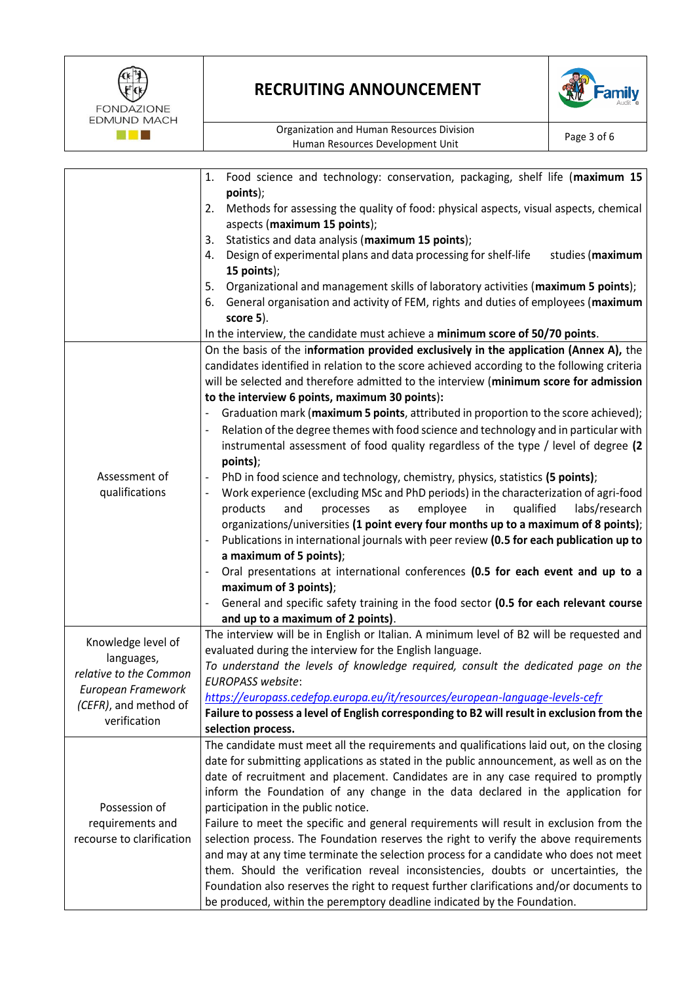

|                           | Food science and technology: conservation, packaging, shelf life (maximum 15<br>1.                         |
|---------------------------|------------------------------------------------------------------------------------------------------------|
|                           | points);                                                                                                   |
|                           | Methods for assessing the quality of food: physical aspects, visual aspects, chemical<br>2.                |
|                           | aspects (maximum 15 points);                                                                               |
|                           | Statistics and data analysis (maximum 15 points);<br>3.                                                    |
|                           | Design of experimental plans and data processing for shelf-life<br>studies (maximum<br>4.                  |
|                           | 15 points);                                                                                                |
|                           | Organizational and management skills of laboratory activities (maximum 5 points);<br>5.                    |
|                           | 6. General organisation and activity of FEM, rights and duties of employees (maximum                       |
|                           | score 5).                                                                                                  |
|                           | In the interview, the candidate must achieve a minimum score of 50/70 points.                              |
|                           | On the basis of the information provided exclusively in the application (Annex A), the                     |
|                           | candidates identified in relation to the score achieved according to the following criteria                |
|                           | will be selected and therefore admitted to the interview (minimum score for admission                      |
|                           | to the interview 6 points, maximum 30 points):                                                             |
|                           | Graduation mark (maximum 5 points, attributed in proportion to the score achieved);<br>-                   |
|                           | Relation of the degree themes with food science and technology and in particular with                      |
|                           | instrumental assessment of food quality regardless of the type / level of degree (2                        |
|                           | points);                                                                                                   |
| Assessment of             | PhD in food science and technology, chemistry, physics, statistics (5 points);<br>$\overline{\phantom{a}}$ |
| qualifications            | Work experience (excluding MSc and PhD periods) in the characterization of agri-food                       |
|                           | qualified                                                                                                  |
|                           | products<br>and<br>processes<br>employee<br>in<br>labs/research<br>as                                      |
|                           | organizations/universities (1 point every four months up to a maximum of 8 points);                        |
|                           | Publications in international journals with peer review (0.5 for each publication up to                    |
|                           | a maximum of 5 points);                                                                                    |
|                           | Oral presentations at international conferences (0.5 for each event and up to a                            |
|                           | maximum of 3 points);                                                                                      |
|                           | General and specific safety training in the food sector (0.5 for each relevant course                      |
|                           | and up to a maximum of 2 points).                                                                          |
|                           | The interview will be in English or Italian. A minimum level of B2 will be requested and                   |
| Knowledge level of        | evaluated during the interview for the English language.                                                   |
| languages,                | To understand the levels of knowledge required, consult the dedicated page on the                          |
| relative to the Common    | <b>EUROPASS website:</b>                                                                                   |
| European Framework        | https://europass.cedefop.europa.eu/it/resources/european-language-levels-cefr                              |
| (CEFR), and method of     | Failure to possess a level of English corresponding to B2 will result in exclusion from the                |
| verification              | selection process.                                                                                         |
|                           | The candidate must meet all the requirements and qualifications laid out, on the closing                   |
|                           | date for submitting applications as stated in the public announcement, as well as on the                   |
|                           | date of recruitment and placement. Candidates are in any case required to promptly                         |
|                           |                                                                                                            |
|                           | inform the Foundation of any change in the data declared in the application for                            |
| Possession of             | participation in the public notice.                                                                        |
| requirements and          | Failure to meet the specific and general requirements will result in exclusion from the                    |
| recourse to clarification | selection process. The Foundation reserves the right to verify the above requirements                      |
|                           | and may at any time terminate the selection process for a candidate who does not meet                      |
|                           | them. Should the verification reveal inconsistencies, doubts or uncertainties, the                         |
|                           | Foundation also reserves the right to request further clarifications and/or documents to                   |
|                           | be produced, within the peremptory deadline indicated by the Foundation.                                   |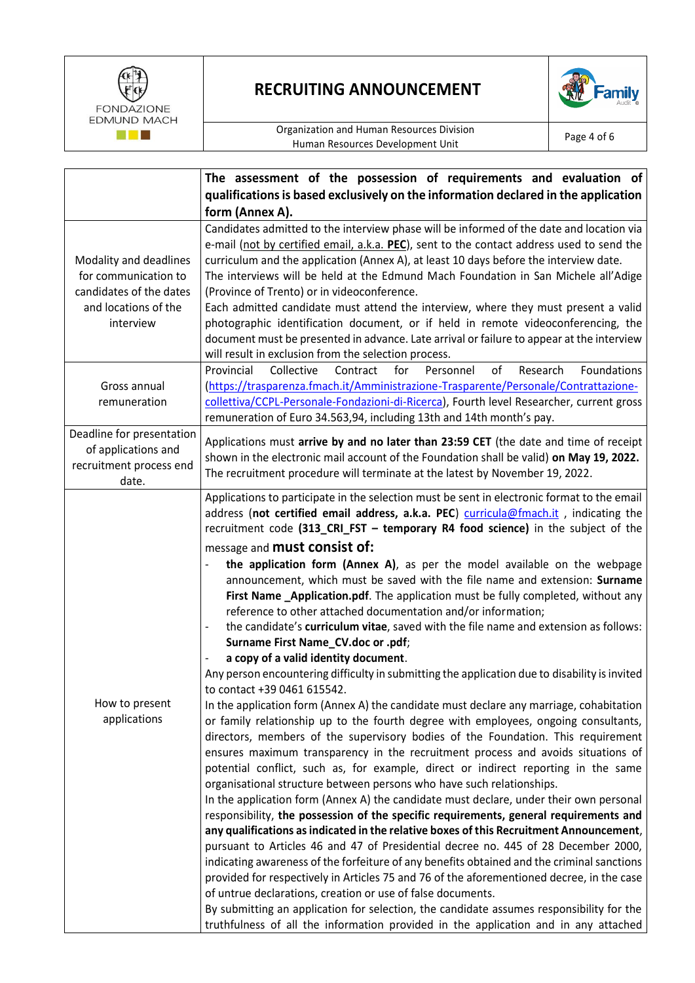



|                           | The assessment of the possession of requirements and evaluation of                                                                                    |  |
|---------------------------|-------------------------------------------------------------------------------------------------------------------------------------------------------|--|
|                           | qualifications is based exclusively on the information declared in the application                                                                    |  |
|                           | form (Annex A).                                                                                                                                       |  |
|                           | Candidates admitted to the interview phase will be informed of the date and location via                                                              |  |
|                           | e-mail (not by certified email, a.k.a. PEC), sent to the contact address used to send the                                                             |  |
| Modality and deadlines    | curriculum and the application (Annex A), at least 10 days before the interview date.                                                                 |  |
| for communication to      | The interviews will be held at the Edmund Mach Foundation in San Michele all'Adige                                                                    |  |
| candidates of the dates   | (Province of Trento) or in videoconference.                                                                                                           |  |
| and locations of the      | Each admitted candidate must attend the interview, where they must present a valid                                                                    |  |
| interview                 | photographic identification document, or if held in remote videoconferencing, the                                                                     |  |
|                           | document must be presented in advance. Late arrival or failure to appear at the interview                                                             |  |
|                           | will result in exclusion from the selection process.                                                                                                  |  |
|                           | Provincial<br>Collective<br>Foundations<br>Contract<br>for<br>Personnel<br>of<br>Research                                                             |  |
| Gross annual              | (https://trasparenza.fmach.it/Amministrazione-Trasparente/Personale/Contrattazione-                                                                   |  |
| remuneration              | collettiva/CCPL-Personale-Fondazioni-di-Ricerca), Fourth level Researcher, current gross                                                              |  |
|                           | remuneration of Euro 34.563,94, including 13th and 14th month's pay.                                                                                  |  |
| Deadline for presentation | Applications must arrive by and no later than 23:59 CET (the date and time of receipt                                                                 |  |
| of applications and       | shown in the electronic mail account of the Foundation shall be valid) on May 19, 2022.                                                               |  |
| recruitment process end   | The recruitment procedure will terminate at the latest by November 19, 2022.                                                                          |  |
| date.                     |                                                                                                                                                       |  |
|                           | Applications to participate in the selection must be sent in electronic format to the email                                                           |  |
|                           | address (not certified email address, a.k.a. PEC) curricula@fmach.it, indicating the                                                                  |  |
|                           | recruitment code (313_CRI_FST - temporary R4 food science) in the subject of the                                                                      |  |
|                           | message and <b>must consist of:</b>                                                                                                                   |  |
|                           | the application form (Annex A), as per the model available on the webpage                                                                             |  |
|                           | announcement, which must be saved with the file name and extension: Surname                                                                           |  |
|                           | First Name_Application.pdf. The application must be fully completed, without any                                                                      |  |
|                           | reference to other attached documentation and/or information;<br>the candidate's curriculum vitae, saved with the file name and extension as follows: |  |
|                           | Surname First Name_CV.doc or .pdf;                                                                                                                    |  |
|                           | a copy of a valid identity document.<br>$\qquad \qquad \blacksquare$                                                                                  |  |
|                           | Any person encountering difficulty in submitting the application due to disability is invited                                                         |  |
|                           | to contact +39 0461 615542.                                                                                                                           |  |
| How to present            | In the application form (Annex A) the candidate must declare any marriage, cohabitation                                                               |  |
| applications              | or family relationship up to the fourth degree with employees, ongoing consultants,                                                                   |  |
|                           | directors, members of the supervisory bodies of the Foundation. This requirement                                                                      |  |
|                           | ensures maximum transparency in the recruitment process and avoids situations of                                                                      |  |
|                           | potential conflict, such as, for example, direct or indirect reporting in the same                                                                    |  |
|                           | organisational structure between persons who have such relationships.                                                                                 |  |
|                           | In the application form (Annex A) the candidate must declare, under their own personal                                                                |  |
|                           | responsibility, the possession of the specific requirements, general requirements and                                                                 |  |
|                           | any qualifications as indicated in the relative boxes of this Recruitment Announcement,                                                               |  |
|                           | pursuant to Articles 46 and 47 of Presidential decree no. 445 of 28 December 2000,                                                                    |  |
|                           | indicating awareness of the forfeiture of any benefits obtained and the criminal sanctions                                                            |  |
|                           | provided for respectively in Articles 75 and 76 of the aforementioned decree, in the case                                                             |  |
|                           | of untrue declarations, creation or use of false documents.                                                                                           |  |
|                           | By submitting an application for selection, the candidate assumes responsibility for the                                                              |  |
|                           | truthfulness of all the information provided in the application and in any attached                                                                   |  |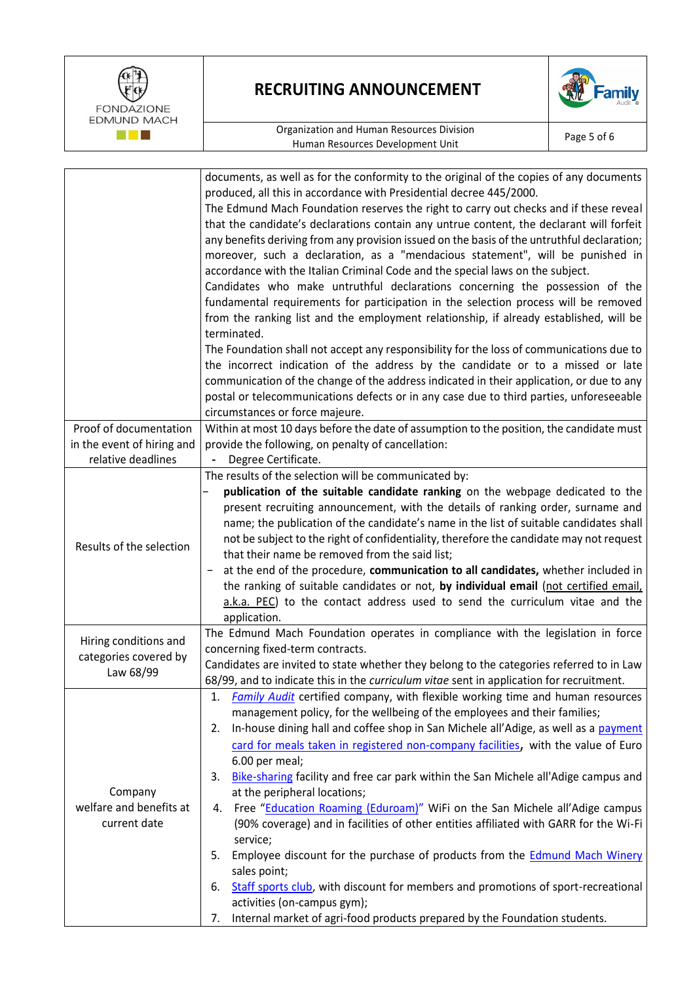



|                                    | documents, as well as for the conformity to the original of the copies of any documents<br>produced, all this in accordance with Presidential decree 445/2000.<br>The Edmund Mach Foundation reserves the right to carry out checks and if these reveal<br>that the candidate's declarations contain any untrue content, the declarant will forfeit<br>any benefits deriving from any provision issued on the basis of the untruthful declaration;<br>moreover, such a declaration, as a "mendacious statement", will be punished in                                                                                                                                                 |  |
|------------------------------------|--------------------------------------------------------------------------------------------------------------------------------------------------------------------------------------------------------------------------------------------------------------------------------------------------------------------------------------------------------------------------------------------------------------------------------------------------------------------------------------------------------------------------------------------------------------------------------------------------------------------------------------------------------------------------------------|--|
|                                    | accordance with the Italian Criminal Code and the special laws on the subject.<br>Candidates who make untruthful declarations concerning the possession of the                                                                                                                                                                                                                                                                                                                                                                                                                                                                                                                       |  |
|                                    | fundamental requirements for participation in the selection process will be removed<br>from the ranking list and the employment relationship, if already established, will be                                                                                                                                                                                                                                                                                                                                                                                                                                                                                                        |  |
|                                    | terminated.<br>The Foundation shall not accept any responsibility for the loss of communications due to                                                                                                                                                                                                                                                                                                                                                                                                                                                                                                                                                                              |  |
|                                    | the incorrect indication of the address by the candidate or to a missed or late                                                                                                                                                                                                                                                                                                                                                                                                                                                                                                                                                                                                      |  |
|                                    | communication of the change of the address indicated in their application, or due to any                                                                                                                                                                                                                                                                                                                                                                                                                                                                                                                                                                                             |  |
|                                    | postal or telecommunications defects or in any case due to third parties, unforeseeable                                                                                                                                                                                                                                                                                                                                                                                                                                                                                                                                                                                              |  |
| Proof of documentation             | circumstances or force majeure.<br>Within at most 10 days before the date of assumption to the position, the candidate must                                                                                                                                                                                                                                                                                                                                                                                                                                                                                                                                                          |  |
| in the event of hiring and         | provide the following, on penalty of cancellation:                                                                                                                                                                                                                                                                                                                                                                                                                                                                                                                                                                                                                                   |  |
| relative deadlines                 | Degree Certificate.                                                                                                                                                                                                                                                                                                                                                                                                                                                                                                                                                                                                                                                                  |  |
|                                    | The results of the selection will be communicated by:                                                                                                                                                                                                                                                                                                                                                                                                                                                                                                                                                                                                                                |  |
| Results of the selection           | publication of the suitable candidate ranking on the webpage dedicated to the<br>present recruiting announcement, with the details of ranking order, surname and<br>name; the publication of the candidate's name in the list of suitable candidates shall<br>not be subject to the right of confidentiality, therefore the candidate may not request<br>that their name be removed from the said list;<br>at the end of the procedure, communication to all candidates, whether included in<br>the ranking of suitable candidates or not, by individual email (not certified email,<br>a.k.a. PEC) to the contact address used to send the curriculum vitae and the<br>application. |  |
| Hiring conditions and              | The Edmund Mach Foundation operates in compliance with the legislation in force                                                                                                                                                                                                                                                                                                                                                                                                                                                                                                                                                                                                      |  |
| categories covered by              | concerning fixed-term contracts.                                                                                                                                                                                                                                                                                                                                                                                                                                                                                                                                                                                                                                                     |  |
| Law 68/99                          | Candidates are invited to state whether they belong to the categories referred to in Law                                                                                                                                                                                                                                                                                                                                                                                                                                                                                                                                                                                             |  |
|                                    | 68/99, and to indicate this in the <i>curriculum vitae</i> sent in application for recruitment.<br>Family Audit certified company, with flexible working time and human resources<br>1.                                                                                                                                                                                                                                                                                                                                                                                                                                                                                              |  |
|                                    | management policy, for the wellbeing of the employees and their families;                                                                                                                                                                                                                                                                                                                                                                                                                                                                                                                                                                                                            |  |
|                                    | In-house dining hall and coffee shop in San Michele all'Adige, as well as a payment<br>2.                                                                                                                                                                                                                                                                                                                                                                                                                                                                                                                                                                                            |  |
|                                    | card for meals taken in registered non-company facilities, with the value of Euro                                                                                                                                                                                                                                                                                                                                                                                                                                                                                                                                                                                                    |  |
|                                    | 6.00 per meal;                                                                                                                                                                                                                                                                                                                                                                                                                                                                                                                                                                                                                                                                       |  |
|                                    | Bike-sharing facility and free car park within the San Michele all'Adige campus and<br>3.                                                                                                                                                                                                                                                                                                                                                                                                                                                                                                                                                                                            |  |
| Company<br>welfare and benefits at | at the peripheral locations;<br>Free "Education Roaming (Eduroam)" WiFi on the San Michele all'Adige campus<br>4.                                                                                                                                                                                                                                                                                                                                                                                                                                                                                                                                                                    |  |
| current date                       | (90% coverage) and in facilities of other entities affiliated with GARR for the Wi-Fi<br>service;                                                                                                                                                                                                                                                                                                                                                                                                                                                                                                                                                                                    |  |
|                                    | Employee discount for the purchase of products from the <b>Edmund Mach Winery</b><br>5.<br>sales point;                                                                                                                                                                                                                                                                                                                                                                                                                                                                                                                                                                              |  |
|                                    | Staff sports club, with discount for members and promotions of sport-recreational<br>6.<br>activities (on-campus gym);                                                                                                                                                                                                                                                                                                                                                                                                                                                                                                                                                               |  |
|                                    | Internal market of agri-food products prepared by the Foundation students.<br>7.                                                                                                                                                                                                                                                                                                                                                                                                                                                                                                                                                                                                     |  |